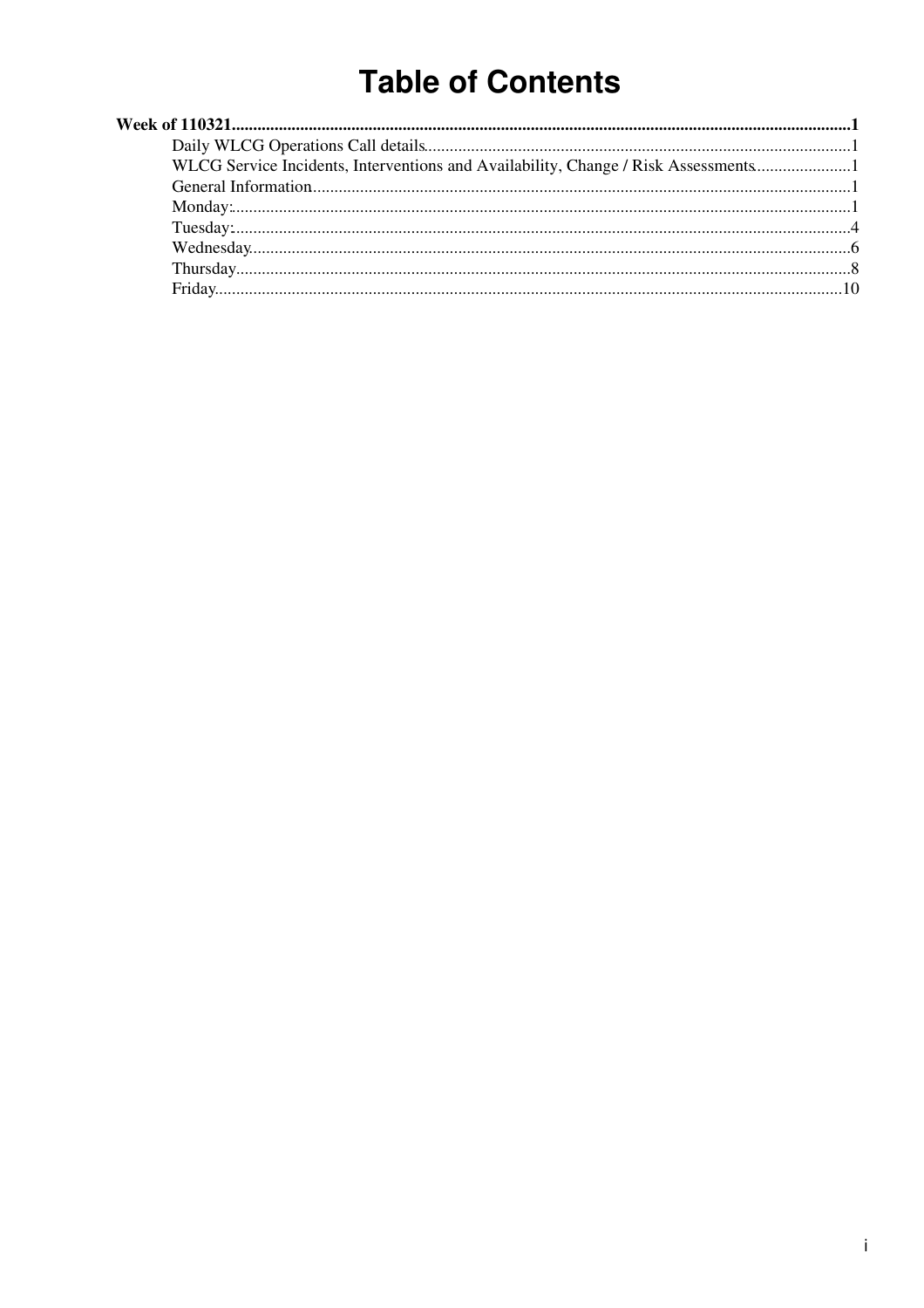# **Table of Contents**

| WLCG Service Incidents, Interventions and Availability, Change / Risk Assessments |  |
|-----------------------------------------------------------------------------------|--|
|                                                                                   |  |
|                                                                                   |  |
|                                                                                   |  |
|                                                                                   |  |
|                                                                                   |  |
|                                                                                   |  |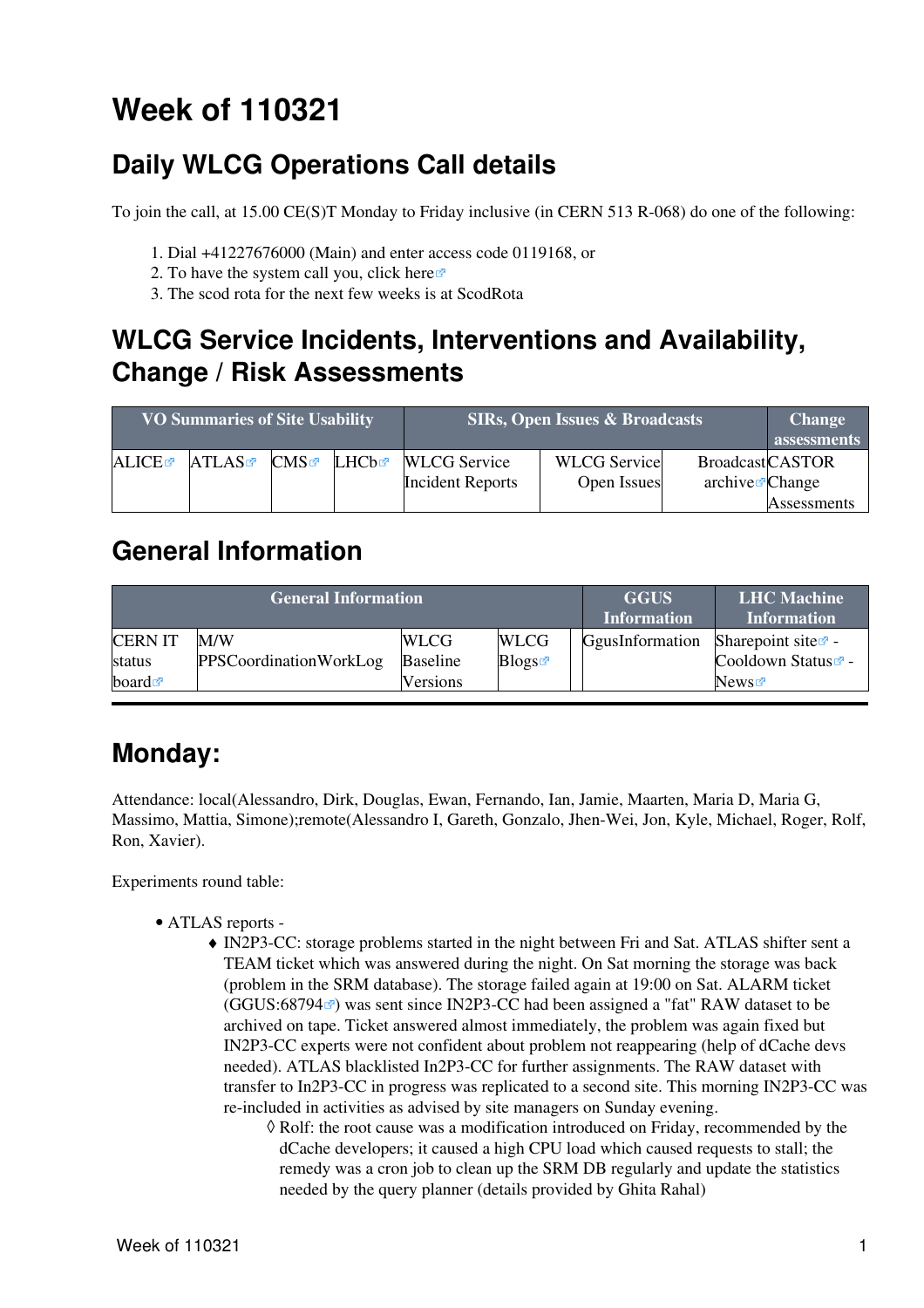# <span id="page-1-0"></span>**Week of 110321**

# <span id="page-1-1"></span>**Daily WLCG Operations Call details**

To join the call, at 15.00 CE(S)T Monday to Friday inclusive (in CERN 513 R-068) do one of the following:

- 1. Dial +41227676000 (Main) and enter access code 0119168, or
- 2. To have the system call you, click [here](https://audioconf.cern.ch/call/0119168) $\Phi$
- 3. The scod rota for the next few weeks is at [ScodRota](https://twiki.cern.ch/twiki/bin/view/LCG/ScodRota)

### <span id="page-1-2"></span>**WLCG Service Incidents, Interventions and Availability, Change / Risk Assessments**

| <b>VO Summaries of Site Usability</b> |       |                    | <b>SIRs, Open Issues &amp; Broadcasts</b> | <b>Change</b><br>assessments                   |                                    |                                                        |                    |
|---------------------------------------|-------|--------------------|-------------------------------------------|------------------------------------------------|------------------------------------|--------------------------------------------------------|--------------------|
| <b>ALICE</b>                          | ATLAS | $CMS$ $\mathbb{Z}$ | ∐HCh≊                                     | <b>WLCG</b> Service<br><b>Incident Reports</b> | <b>WLCG</b> Service<br>Open Issues | <b>BroadcastCASTOR</b><br>$\archive\mathcal{O}$ Change |                    |
|                                       |       |                    |                                           |                                                |                                    |                                                        | <b>Assessments</b> |

### <span id="page-1-3"></span>**General Information**

|                      | <b>General Information</b> | <b>GGUS</b><br><b>Information</b> | <b>LHC</b> Machine<br><b>Information</b> |                 |                                |
|----------------------|----------------------------|-----------------------------------|------------------------------------------|-----------------|--------------------------------|
| <b>CERNIT</b>        | M/W                        | <b>WLCG</b>                       | <b>WLCG</b>                              | GgusInformation | Sharepoint site $\Phi$ -       |
| status               | PPSCoordinationWorkLog     | <b>Baseline</b>                   | Blogs                                    |                 | Cooldown Status <sup>®</sup> - |
| board $\blacksquare$ |                            | Versions                          |                                          |                 | News                           |

# <span id="page-1-4"></span>**Monday:**

Attendance: local(Alessandro, Dirk, Douglas, Ewan, Fernando, Ian, Jamie, Maarten, Maria D, Maria G, Massimo, Mattia, Simone);remote(Alessandro I, Gareth, Gonzalo, Jhen-Wei, Jon, Kyle, Michael, Roger, Rolf, Ron, Xavier).

Experiments round table:

- ATLAS [reports](https://twiki.cern.ch/twiki/bin/view/Atlas/ADCOperationsDailyReports)  •
	- [IN2P3-](https://twiki.cern.ch/twiki/bin/view/LCG/IN2P3)CC: storage problems started in the night between Fri and Sat. ATLAS shifter sent a ♦ TEAM ticket which was answered during the night. On Sat morning the storage was back (problem in the SRM database). The storage failed again at 19:00 on Sat. ALARM ticket  $(GGUS:68794 \text{ m})$  $(GGUS:68794 \text{ m})$  $(GGUS:68794 \text{ m})$  was sent since [IN2P3](https://twiki.cern.ch/twiki/bin/view/LCG/IN2P3)-CC had been assigned a "fat" RAW dataset to be archived on tape. Ticket answered almost immediately, the problem was again fixed but [IN2P3-](https://twiki.cern.ch/twiki/bin/view/LCG/IN2P3)CC experts were not confident about problem not reappearing (help of dCache devs needed). ATLAS blacklisted [In2P3](https://twiki.cern.ch/twiki/bin/edit/LCG/In2P3?topicparent=LCG.WLCGDailyMeetingsWeek110321;nowysiwyg=1)-CC for further assignments. The RAW dataset with transfer to [In2P3-](https://twiki.cern.ch/twiki/bin/edit/LCG/In2P3?topicparent=LCG.WLCGDailyMeetingsWeek110321;nowysiwyg=1)CC in progress was replicated to a second site. This morning [IN2P3](https://twiki.cern.ch/twiki/bin/view/LCG/IN2P3)-CC was re-included in activities as advised by site managers on Sunday evening.
		- Rolf: the root cause was a modification introduced on Friday, recommended by the ◊ dCache developers; it caused a high CPU load which caused requests to stall; the remedy was a cron job to clean up the SRM DB regularly and update the statistics needed by the query planner (details provided by Ghita Rahal)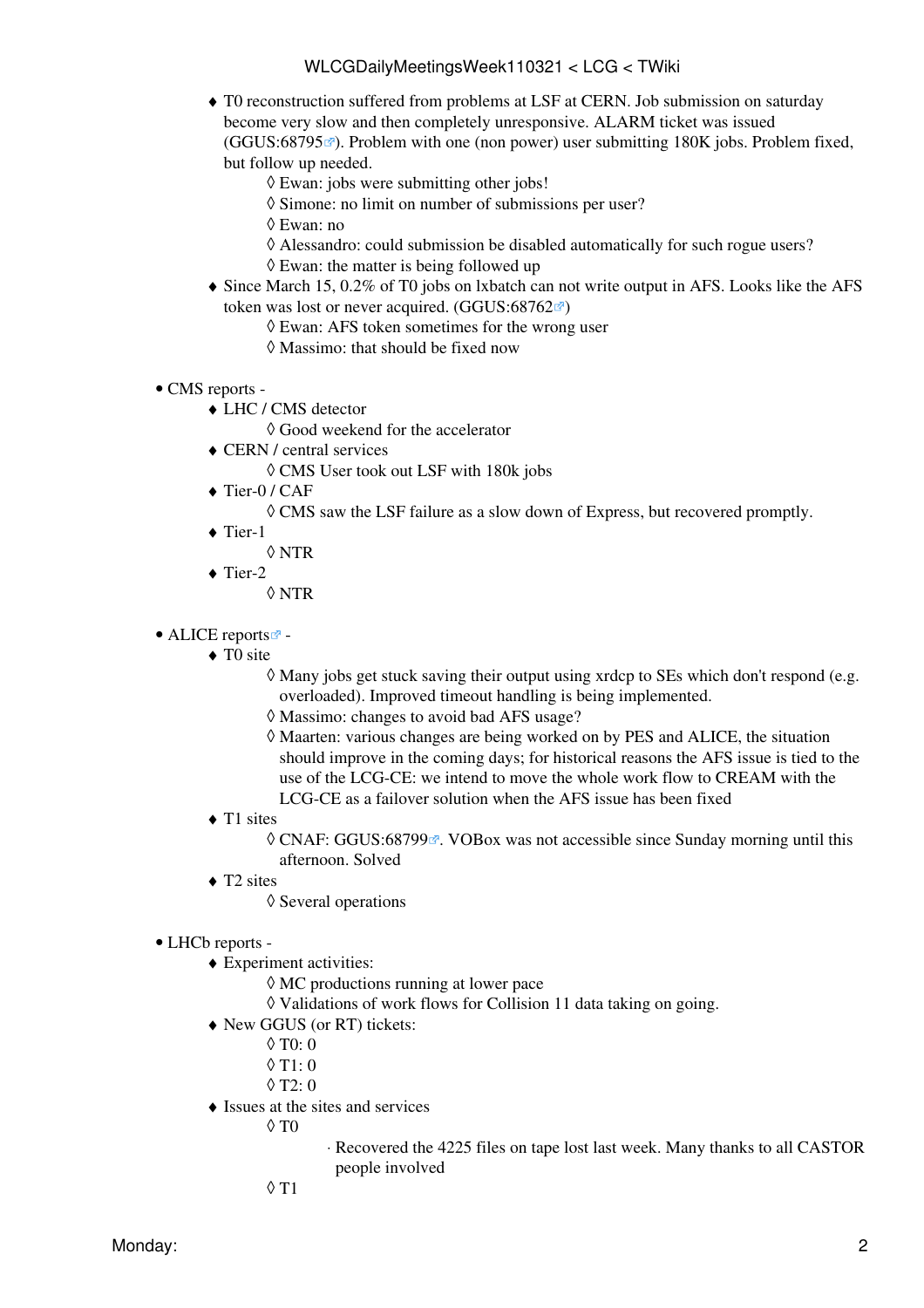- T0 reconstruction suffered from problems at [LSF](https://twiki.cern.ch/twiki/bin/view/LCG/LSF) at CERN. Job submission on saturday ♦ become very slow and then completely unresponsive. ALARM ticket was issued  $(GGUS:68795 \text{ m})$  $(GGUS:68795 \text{ m})$  $(GGUS:68795 \text{ m})$ . Problem with one (non power) user submitting 180K jobs. Problem fixed, but follow up needed.
	- ◊ Ewan: jobs were submitting other jobs!
	- ◊ Simone: no limit on number of submissions per user?
	- ◊ Ewan: no
	- ◊ Alessandro: could submission be disabled automatically for such rogue users?
	- $\Diamond$  Ewan: the matter is being followed up
- Since March 15, 0.2% of T0 jobs on lxbatch can not write output in AFS. Looks like the AFS ♦ token was lost or never acquired.  $(GGUS:68762 \times )$  $(GGUS:68762 \times )$  $(GGUS:68762 \times )$ 
	- ◊ Ewan: AFS token sometimes for the wrong user
	- ◊ Massimo: that should be fixed now
- CMS [reports](https://twiki.cern.ch/twiki/bin/view/CMS/FacOps_WLCGdailyreports) -
	- LHC / CMS detector ♦
		- ◊ Good weekend for the accelerator
	- CERN / central services ♦
		- ◊ CMS User took out [LSF](https://twiki.cern.ch/twiki/bin/view/LCG/LSF) with 180k jobs
	- ◆ Tier-0 / CAF
		- ◊ CMS saw the [LSF](https://twiki.cern.ch/twiki/bin/view/LCG/LSF) failure as a slow down of Express, but recovered promptly.
	- ◆ Tier-1
		- ◊ NTR
	- ◆ Tier-2
		- ◊ NTR
- ALICE [reports](http://alien2.cern.ch/index.php?option=com_content&view=article&id=75&Itemid=129)<sup>2</sup>
	- ◆ TO site
		- Many jobs get stuck saving their output using xrdcp to SEs which don't respond (e.g. ◊ overloaded). Improved timeout handling is being implemented.
		- ◊ Massimo: changes to avoid bad AFS usage?
		- Maarten: various changes are being worked on by PES and ALICE, the situation ◊ should improve in the coming days; for historical reasons the AFS issue is tied to the use of the LCG-CE: we intend to move the whole work flow to [CREAM](https://twiki.cern.ch/twiki/bin/view/LCG/CREAM) with the LCG-CE as a failover solution when the AFS issue has been fixed
	- T1 sites
		- © CNAF: [GGUS:68799](https://ggus.eu/ws/ticket_info.php?ticket=68799) <sup>a</sup>. VOBox was not accessible since Sunday morning until this afternoon. Solved
	- ◆ T2 sites
		- ◊ Several operations

#### • LHCb [reports](https://twiki.cern.ch/twiki/bin/view/LHCb/ProductionOperationsWLCGdailyReports) -

- Experiment activities: ♦
	- ◊ MC productions running at lower pace
	- ◊ Validations of work flows for Collision 11 data taking on going.
- New GGUS (or RT) tickets: ♦
	- ◊ T0: 0
	- $0$  T<sub>1</sub> $\cdot$  0
	- $\Diamond$  T<sub>2</sub>: 0
- $\triangleleft$  Issues at the sites and services
	- $\Diamond$  T $0$
- Recovered the 4225 files on tape lost last week. Many thanks to all CASTOR ⋅ people involved
- $0$  T<sub>1</sub>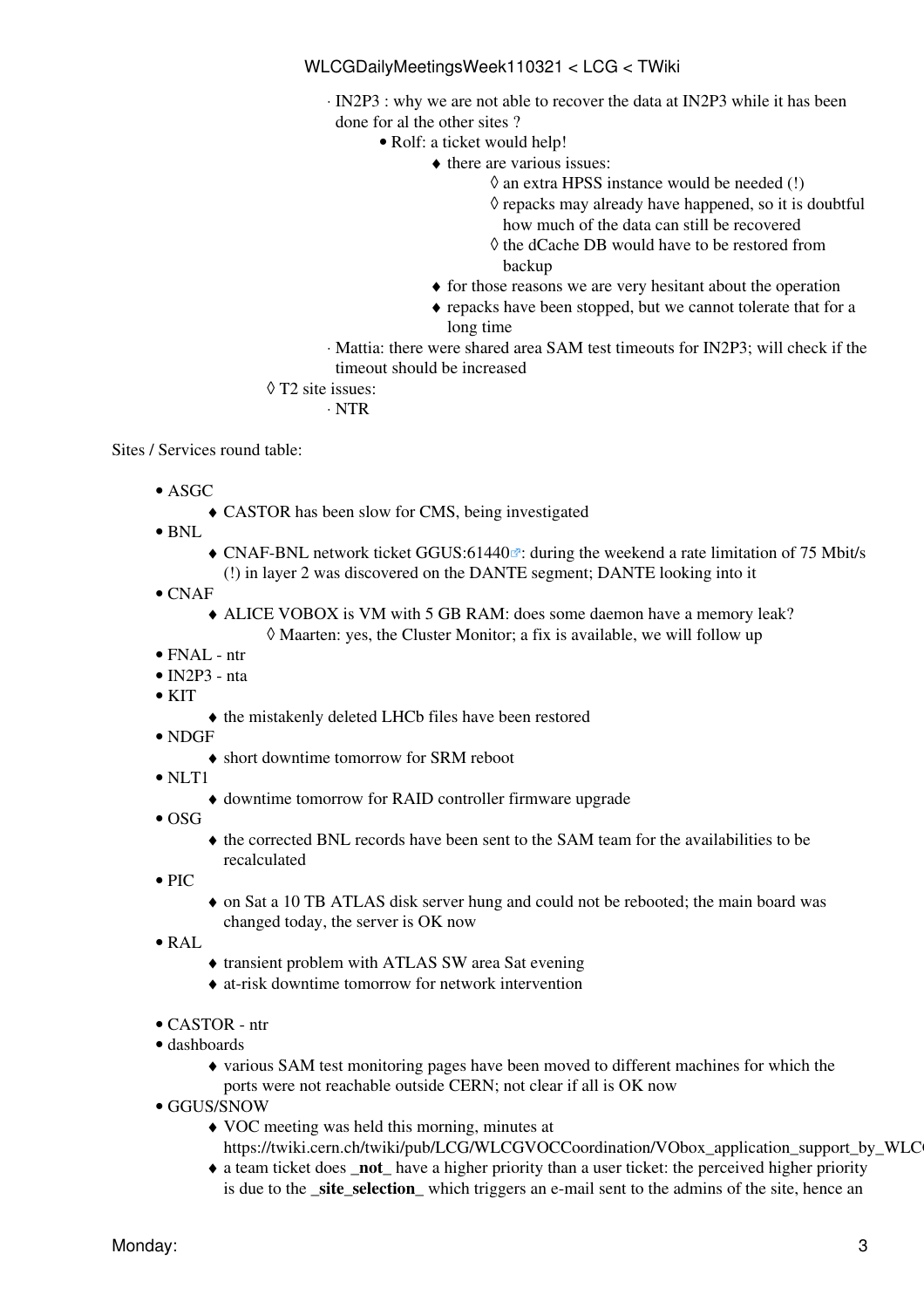[IN2P3](https://twiki.cern.ch/twiki/bin/view/LCG/IN2P3) : why we are not able to recover the data at [IN2P3](https://twiki.cern.ch/twiki/bin/view/LCG/IN2P3) while it has been ⋅ done for al the other sites ?

Rolf: a ticket would help! •

- $\bullet$  there are various issues:
	- ◊ an extra HPSS instance would be needed (!)
	- $\Diamond$  repacks may already have happened, so it is doubtful how much of the data can still be recovered
	- ◊ the dCache DB would have to be restored from backup
- ♦ for those reasons we are very hesitant about the operation
- repacks have been stopped, but we cannot tolerate that for a ♦ long time
- Mattia: there were shared area SAM test timeouts for [IN2P3;](https://twiki.cern.ch/twiki/bin/view/LCG/IN2P3) will check if the ⋅ timeout should be increased

#### T2 site issues: ◊

⋅ NTR

Sites / Services round table:

- ASGC
	- ♦ CASTOR has been slow for CMS, being investigated
- $\bullet$  BNL
	- CNAF-BNL network ticket [GGUS:61440](https://ggus.eu/ws/ticket_info.php?ticket=61440)<sup>®</sup>: during the weekend a rate limitation of 75 Mbit/s (!) in layer 2 was discovered on the DANTE segment; DANTE looking into it
- CNAF
	- ALICE VOBOX is VM with 5 GB RAM: does some daemon have a memory leak? ♦ ◊ Maarten: yes, the Cluster Monitor; a fix is available, we will follow up
- FNAL ntr
- $\bullet$  [IN2P3](https://twiki.cern.ch/twiki/bin/view/LCG/IN2P3)  nta
- $\bullet$  KIT
- ♦ the mistakenly deleted LHCb files have been restored
- NDGF
	- ♦ short downtime tomorrow for SRM reboot
- NLT1
	- ♦ downtime tomorrow for RAID controller firmware upgrade
- $\bullet$  OSG
	- the corrected BNL records have been sent to the SAM team for the availabilities to be ♦ recalculated
- $\bullet$  PIC
- on Sat a 10 TB ATLAS disk server hung and could not be rebooted; the main board was ♦ changed today, the server is OK now
- [RAL](https://twiki.cern.ch/twiki/bin/view/LCG/RAL)
- ♦ transient problem with ATLAS SW area Sat evening
- ♦ at-risk downtime tomorrow for network intervention
- CASTOR ntr
- dashboards
	- various SAM test monitoring pages have been moved to different machines for which the ♦ ports were not reachable outside CERN; not clear if all is OK now
- GGUS/SNOW
	- VOC meeting was held this morning, minutes at ♦
	- https://twiki.cern.ch/twiki/pub/LCG/WLCGVOCCoordination/VObox\_application\_support\_by\_WLC
	- a team ticket does **\_not\_** have a higher priority than a user ticket: the perceived higher priority ♦ is due to the **\_site\_selection\_** which triggers an e-mail sent to the admins of the site, hence an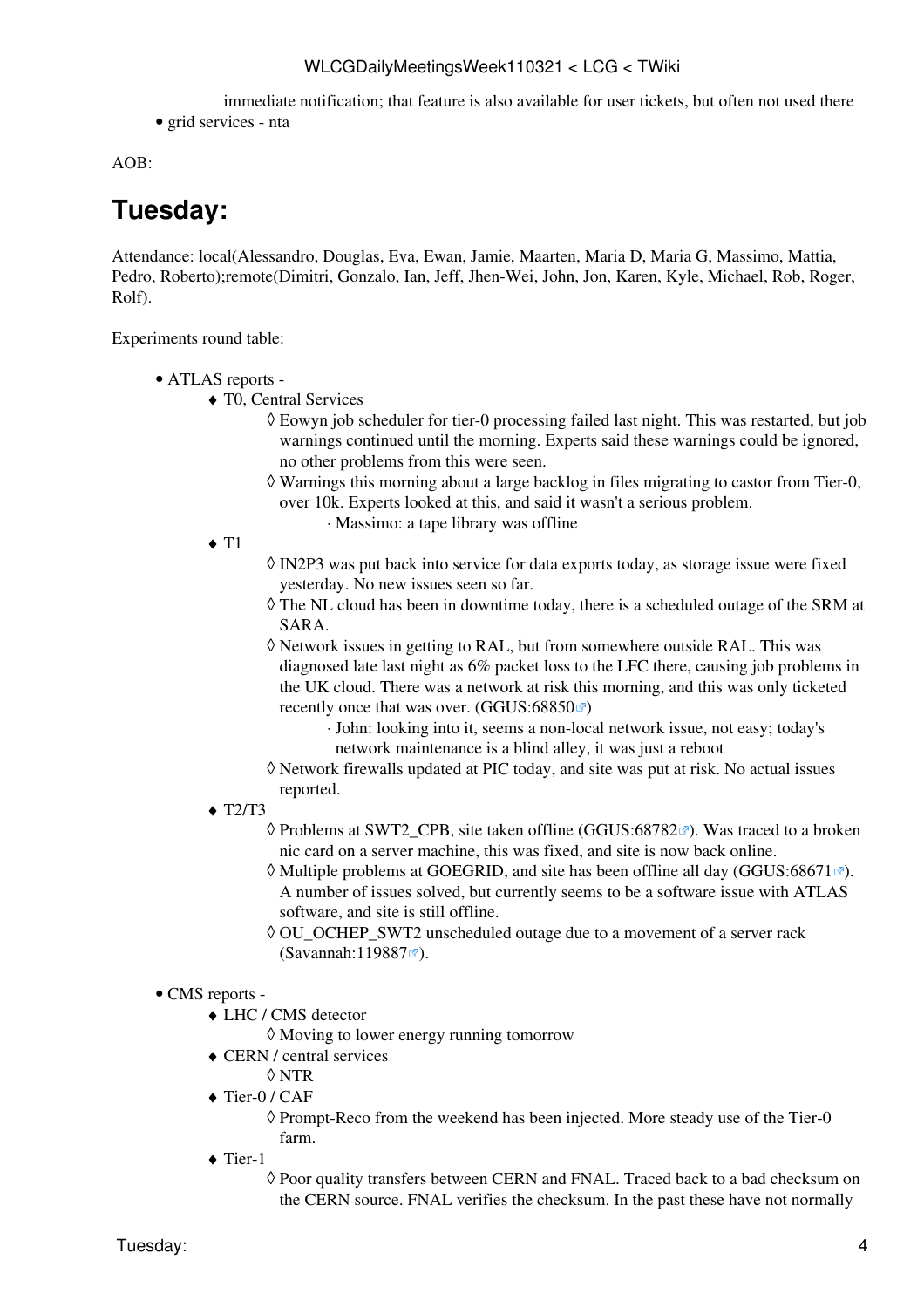immediate notification; that feature is also available for user tickets, but often not used there

• grid services - nta

AOB:

# <span id="page-4-0"></span>**Tuesday:**

Attendance: local(Alessandro, Douglas, Eva, Ewan, Jamie, Maarten, Maria D, Maria G, Massimo, Mattia, Pedro, Roberto);remote(Dimitri, Gonzalo, Ian, Jeff, Jhen-Wei, John, Jon, Karen, Kyle, Michael, Rob, Roger, Rolf).

Experiments round table:

- ATLAS [reports](https://twiki.cern.ch/twiki/bin/view/Atlas/ADCOperationsDailyReports)  •
	- T0, Central Services ♦
		- Eowyn job scheduler for tier-0 processing failed last night. This was restarted, but job ◊ warnings continued until the morning. Experts said these warnings could be ignored, no other problems from this were seen.
		- Warnings this morning about a large backlog in files migrating to castor from Tier-0, ◊ over 10k. Experts looked at this, and said it wasn't a serious problem.
			- ⋅ Massimo: a tape library was offline
		- $\triangleleft$  T<sub>1</sub>
- ◊ [IN2P3](https://twiki.cern.ch/twiki/bin/view/LCG/IN2P3) was put back into service for data exports today, as storage issue were fixed yesterday. No new issues seen so far.
- $\Diamond$  The NL cloud has been in downtime today, there is a scheduled outage of the SRM at SARA.
- Network issues in getting to [RAL](https://twiki.cern.ch/twiki/bin/view/LCG/RAL), but from somewhere outside [RAL](https://twiki.cern.ch/twiki/bin/view/LCG/RAL). This was ◊ diagnosed late last night as 6% packet loss to the LFC there, causing job problems in the UK cloud. There was a network at risk this morning, and this was only ticketed recently once that was over.  $(GGUS:68850\%)$  $(GGUS:68850\%)$  $(GGUS:68850\%)$ 
	- John: looking into it, seems a non-local network issue, not easy; today's ⋅ network maintenance is a blind alley, it was just a reboot
- Network firewalls updated at PIC today, and site was put at risk. No actual issues ◊ reported.
- $\triangleleft$  T2/T3
	- ◊ Problems at SWT2\_CPB, site taken offline ([GGUS:68782](https://ggus.eu/ws/ticket_info.php?ticket=68782)☞). Was traced to a broken nic card on a server machine, this was fixed, and site is now back online.
	- $\Diamond$  Multiple problems at GOEGRID, and site has been offline all day ([GGUS:68671](https://ggus.eu/ws/ticket_info.php?ticket=68671) $\mathbb{F}$ ). A number of issues solved, but currently seems to be a software issue with ATLAS software, and site is still offline.
	- ◊ OU\_OCHEP\_SWT2 unscheduled outage due to a movement of a server rack ([Savannah:119887](https://savannah.cern.ch/support/?119887)<sup>®</sup>).

#### • CMS [reports](https://twiki.cern.ch/twiki/bin/view/CMS/FacOps_WLCGdailyreports) -

- LHC / CMS detector ♦
	- ◊ Moving to lower energy running tomorrow
- CERN / central services ♦
	- ◊ NTR
- ◆ Tier-0 / CAF

◊ Prompt-Reco from the weekend has been injected. More steady use of the Tier-0 farm.

- ◆ Tier-1
	- $\Diamond$  Poor quality transfers between CERN and FNAL. Traced back to a bad checksum on the CERN source. FNAL verifies the checksum. In the past these have not normally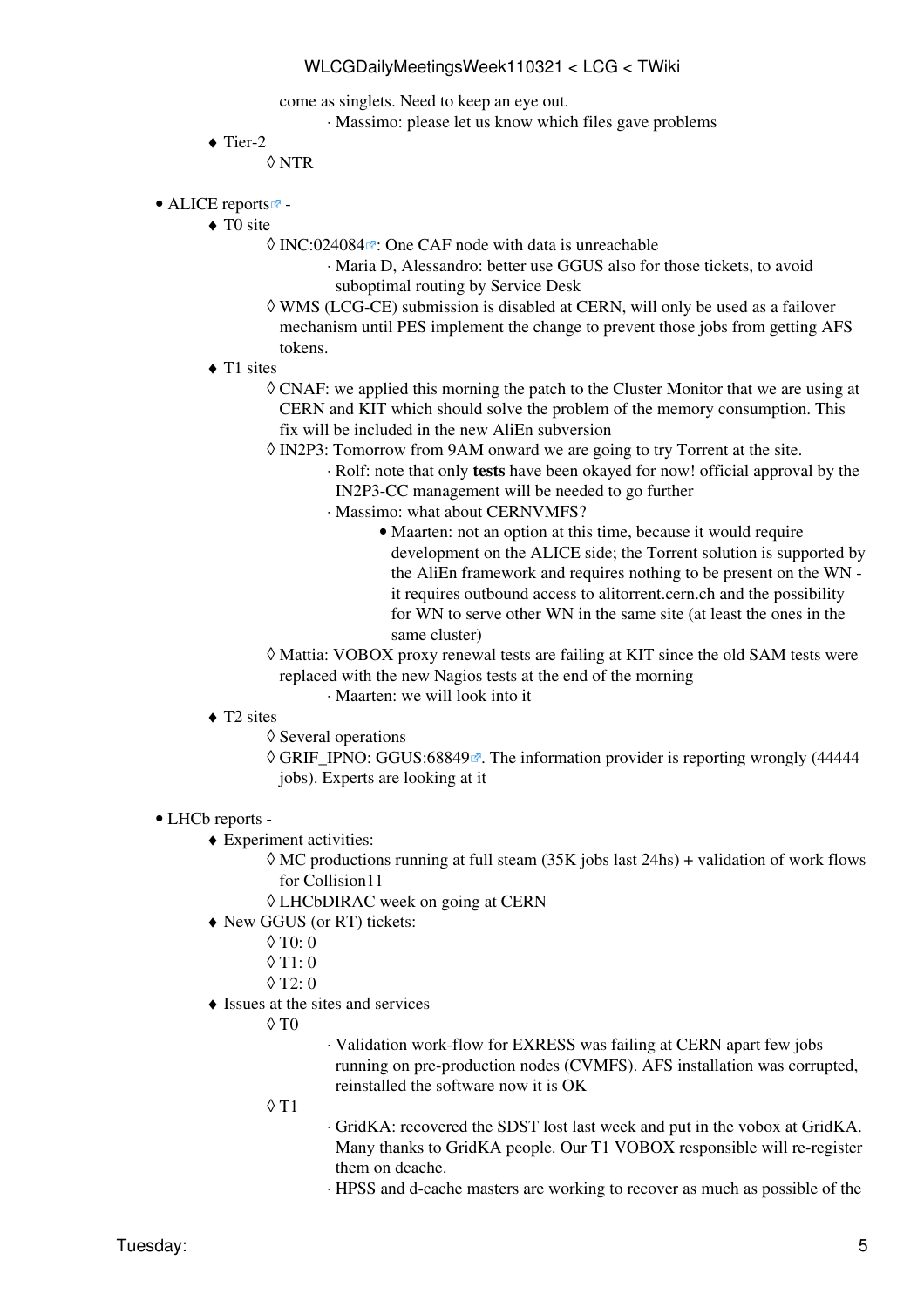come as singlets. Need to keep an eye out.

- ⋅ Massimo: please let us know which files gave problems
- $\blacklozenge$  Tier-2

◊ NTR

- ALICE [reports](http://alien2.cern.ch/index.php?option=com_content&view=article&id=75&Itemid=129)<sup>2</sup> -
	- ◆ TO site
		- © [INC:024084](https://cern.service-now.com/service-portal?id=ticket&n=INC024084) <sup>®</sup>: One CAF node with data is unreachable
			- Maria D, Alessandro: better use GGUS also for those tickets, to avoid ⋅ suboptimal routing by Service Desk
		- WMS (LCG-CE) submission is disabled at CERN, will only be used as a failover ◊ mechanism until PES implement the change to prevent those jobs from getting AFS tokens.
	- ◆ T1 sites
		- CNAF: we applied this morning the patch to the Cluster Monitor that we are using at ◊ CERN and KIT which should solve the problem of the memory consumption. This fix will be included in the new [AliEn](https://twiki.cern.ch/twiki/bin/edit/LCG/AliEn?topicparent=LCG.WLCGDailyMeetingsWeek110321;nowysiwyg=1) subversion
		- [IN2P3:](https://twiki.cern.ch/twiki/bin/view/LCG/IN2P3) Tomorrow from 9AM onward we are going to try Torrent at the site. ◊
			- Rolf: note that only **tests** have been okayed for now! official approval by the ⋅ [IN2P3-](https://twiki.cern.ch/twiki/bin/view/LCG/IN2P3)CC management will be needed to go further
			- Massimo: what about CERNVMFS? ⋅
				- Maarten: not an option at this time, because it would require development on the ALICE side; the Torrent solution is supported by the [AliEn](https://twiki.cern.ch/twiki/bin/edit/LCG/AliEn?topicparent=LCG.WLCGDailyMeetingsWeek110321;nowysiwyg=1) framework and requires nothing to be present on the WN it requires outbound access to alitorrent.cern.ch and the possibility for WN to serve other WN in the same site (at least the ones in the same cluster)
		- Mattia: VOBOX proxy renewal tests are failing at KIT since the old SAM tests were ◊ replaced with the new Nagios tests at the end of the morning
			- ⋅ Maarten: we will look into it
	- ◆ T2 sites
		- ◊ Several operations
		- © GRIF\_IPNO: [GGUS:68849](https://ggus.eu/ws/ticket_info.php?ticket=68849) <sup>®</sup>. The information provider is reporting wrongly (44444 jobs). Experts are looking at it
- LHCb [reports](https://twiki.cern.ch/twiki/bin/view/LHCb/ProductionOperationsWLCGdailyReports)  •
	- Experiment activities: ♦
		- MC productions running at full steam (35K jobs last 24hs) + validation of work flows ◊ for Collision11
		- ◊ [LHCbDIRAC](https://twiki.cern.ch/twiki/bin/edit/LCG/LHCbDIRAC?topicparent=LCG.WLCGDailyMeetingsWeek110321;nowysiwyg=1) week on going at CERN
	- New GGUS (or RT) tickets: ♦
		- $\lozenge$  T<sub>0</sub>: 0
		- $\lozenge$  T<sub>1</sub>: 0
		- $\Diamond$  T<sub>2</sub>: 0
	- $\triangleleft$  Issues at the sites and services
		- $\Diamond$  T $0$
- Validation work-flow for EXRESS was failing at CERN apart few jobs ⋅ running on pre-production nodes (CVMFS). AFS installation was corrupted, reinstalled the software now it is OK
- T1 ◊
- [GridKA](https://twiki.cern.ch/twiki/bin/edit/LCG/GridKA?topicparent=LCG.WLCGDailyMeetingsWeek110321;nowysiwyg=1): recovered the SDST lost last week and put in the vobox at [GridKA](https://twiki.cern.ch/twiki/bin/edit/LCG/GridKA?topicparent=LCG.WLCGDailyMeetingsWeek110321;nowysiwyg=1). ⋅ Many thanks to [GridKA](https://twiki.cern.ch/twiki/bin/edit/LCG/GridKA?topicparent=LCG.WLCGDailyMeetingsWeek110321;nowysiwyg=1) people. Our T1 VOBOX responsible will re-register them on dcache.
- ⋅ HPSS and d-cache masters are working to recover as much as possible of the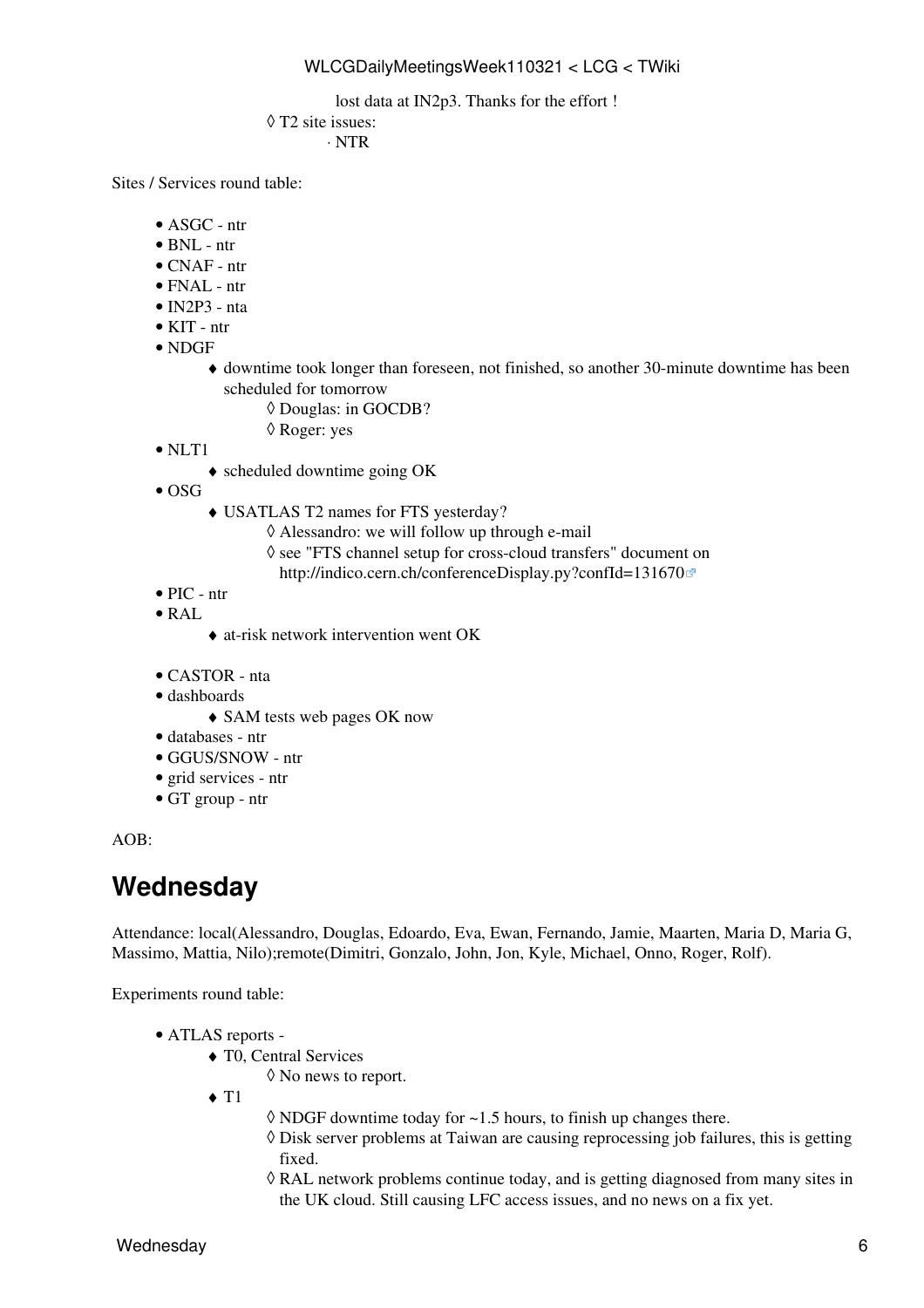lost data at IN2p3. Thanks for the effort !

T2 site issues: ◊

⋅ NTR

Sites / Services round table:

- ASGC ntr
- $\bullet$  BNL ntr
- CNAF ntr
- $\bullet$  FNAL ntr
- [IN2P3](https://twiki.cern.ch/twiki/bin/view/LCG/IN2P3)  nta
- KIT ntr
- NDGF
	- downtime took longer than foreseen, not finished, so another 30-minute downtime has been ♦ scheduled for tomorrow
		- ◊ Douglas: in GOCDB?
		- ◊ Roger: yes
- NLT1
	- ♦ scheduled downtime going OK
- $\bullet$  OSG
	- USATLAS T2 names for FTS yesterday? ♦
		- ◊ Alessandro: we will follow up through e-mail
		- ◊ see "FTS channel setup for cross-cloud transfers" document on
		- <http://indico.cern.ch/conferenceDisplay.py?confId=131670>
- PIC ntr
- $\bullet$  [RAL](https://twiki.cern.ch/twiki/bin/view/LCG/RAL)
	- ♦ at-risk network intervention went OK
- CASTOR nta
- dashboards
	- ♦ SAM tests web pages OK now
- databases ntr
- GGUS/SNOW ntr
- grid services ntr
- GT group ntr

AOB:

### <span id="page-6-0"></span>**Wednesday**

Attendance: local(Alessandro, Douglas, Edoardo, Eva, Ewan, Fernando, Jamie, Maarten, Maria D, Maria G, Massimo, Mattia, Nilo);remote(Dimitri, Gonzalo, John, Jon, Kyle, Michael, Onno, Roger, Rolf).

Experiments round table:

- ATLAS [reports](https://twiki.cern.ch/twiki/bin/view/Atlas/ADCOperationsDailyReports)  •
	- T0, Central Services ♦
		- ◊ No news to report.
	- $\blacklozenge$  T<sub>1</sub>
- $\Diamond$  NDGF downtime today for  $\sim$  1.5 hours, to finish up changes there.
- Disk server problems at Taiwan are causing reprocessing job failures, this is getting ◊ fixed.
- [RAL](https://twiki.cern.ch/twiki/bin/view/LCG/RAL) network problems continue today, and is getting diagnosed from many sites in ◊ the UK cloud. Still causing LFC access issues, and no news on a fix yet.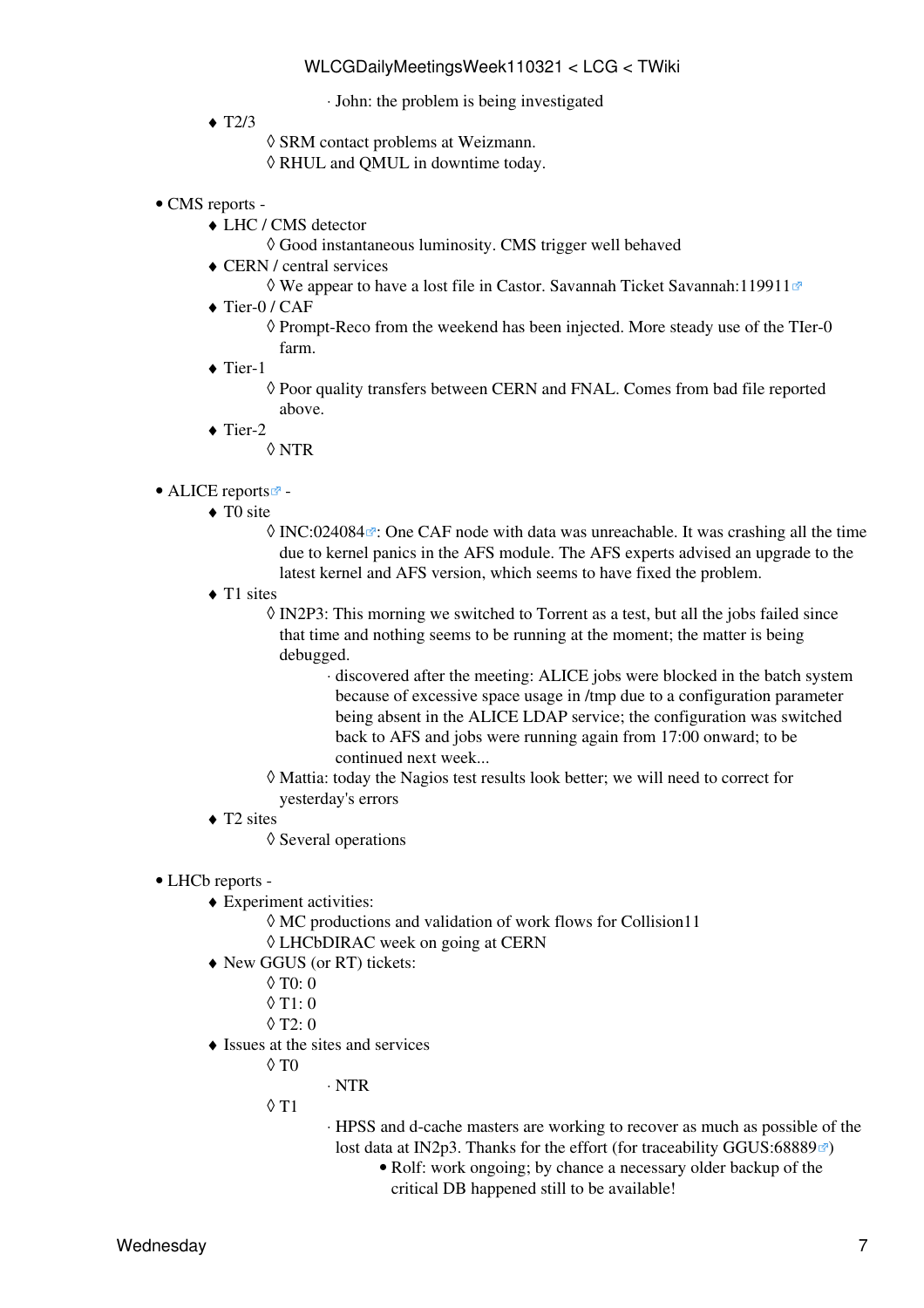⋅ John: the problem is being investigated

- $\triangleleft$  T2/3
- ◊ SRM contact problems at Weizmann.
- ◊ RHUL and QMUL in downtime today.
- CMS [reports](https://twiki.cern.ch/twiki/bin/view/CMS/FacOps_WLCGdailyreports) -
	- LHC / CMS detector ♦
		- ◊ Good instantaneous luminosity. CMS trigger well behaved
	- CERN / central services ♦
		- $\Diamond$  We appear to have a lost file in Castor. Savannah Ticket Savannah: 119911 $\degree$
	- ◆ Tier-0 / CAF
		- $\Diamond$  Prompt-Reco from the weekend has been injected. More steady use of the TIer-0 farm.
	- ◆ Tier-1

Poor quality transfers between CERN and FNAL. Comes from bad file reported ◊ above.

- $\blacklozenge$  Tier-2
	- ◊ NTR
- ALICE [reports](http://alien2.cern.ch/index.php?option=com_content&view=article&id=75&Itemid=129)<sup>2</sup> -
	- ◆ TO site
		- $\Diamond$  [INC:024084](https://cern.service-now.com/service-portal?id=ticket&n=INC024084) $\Box$ : One CAF node with data was unreachable. It was crashing all the time due to kernel panics in the AFS module. The AFS experts advised an upgrade to the latest kernel and AFS version, which seems to have fixed the problem.
	- ◆ T1 sites

◊ [IN2P3:](https://twiki.cern.ch/twiki/bin/view/LCG/IN2P3) This morning we switched to Torrent as a test, but all the jobs failed since that time and nothing seems to be running at the moment; the matter is being debugged.

> discovered after the meeting: ALICE jobs were blocked in the batch system ⋅ because of excessive space usage in /tmp due to a configuration parameter being absent in the ALICE LDAP service; the configuration was switched back to AFS and jobs were running again from 17:00 onward; to be continued next week...

- Mattia: today the Nagios test results look better; we will need to correct for ◊ yesterday's errors
- ◆ T2 sites
	- ◊ Several operations
- LHCb [reports](https://twiki.cern.ch/twiki/bin/view/LHCb/ProductionOperationsWLCGdailyReports) -
	- Experiment activities: ♦
		- $\Diamond$  MC productions and validation of work flows for Collision11
		- ◊ [LHCbDIRAC](https://twiki.cern.ch/twiki/bin/edit/LCG/LHCbDIRAC?topicparent=LCG.WLCGDailyMeetingsWeek110321;nowysiwyg=1) week on going at CERN
	- New GGUS (or RT) tickets: ♦
		- $\Diamond$  T<sub>0</sub> $\cdot$  0
		- $\lozenge$  T<sub>1</sub>: 0
		- $\lozenge$  T2: 0
	- Issues at the sites and services ♦
		- $\Diamond$  T $0$
- ⋅ NTR
- T1 ◊
- HPSS and d-cache masters are working to recover as much as possible of the ⋅ lost data at IN2p3. Thanks for the effort (for traceability [GGUS:68889](https://ggus.eu/ws/ticket_info.php?ticket=68889) $\textcircled{r}$ )
	- Rolf: work ongoing; by chance a necessary older backup of the critical DB happened still to be available!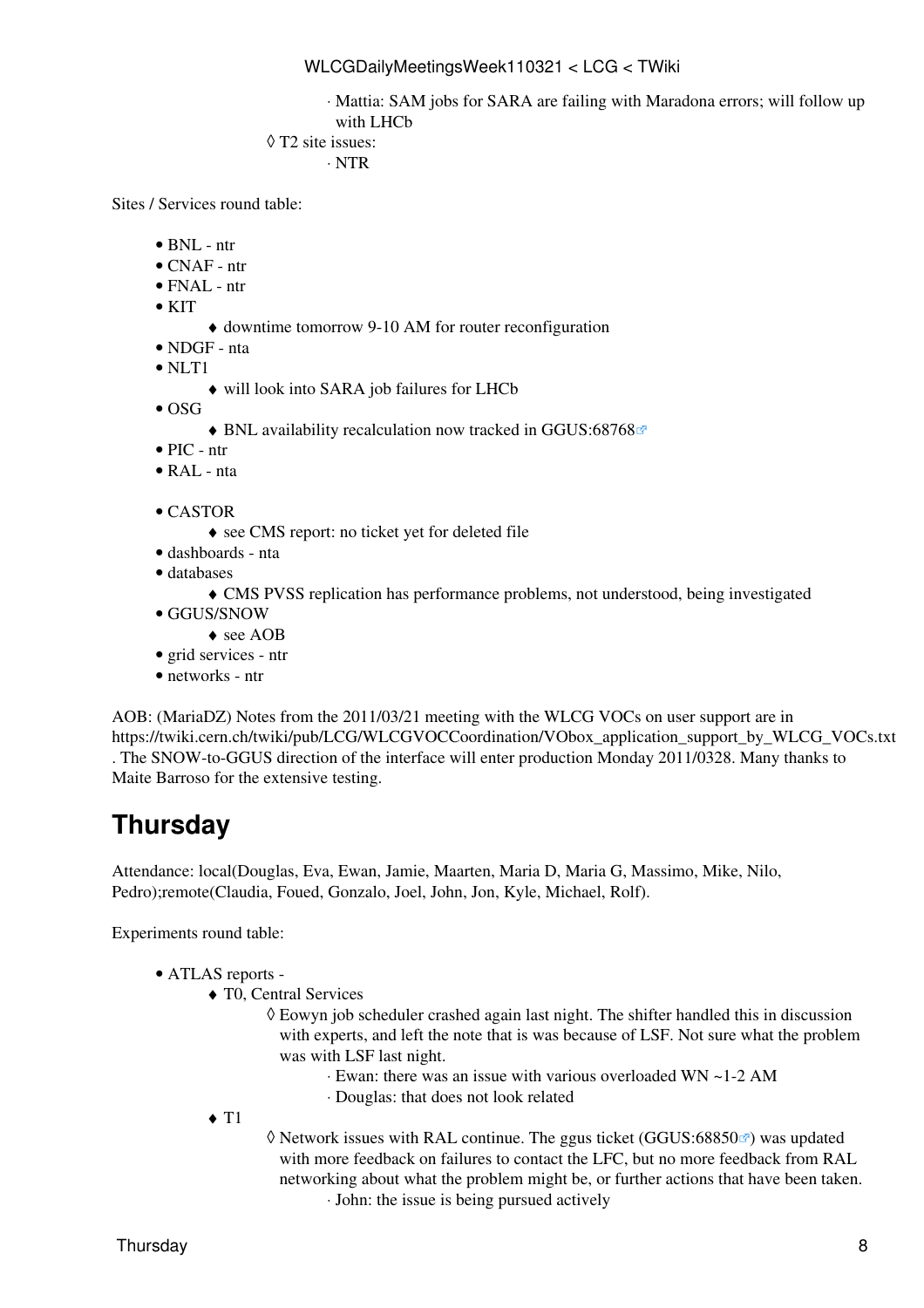Mattia: SAM jobs for SARA are failing with Maradona errors; will follow up ⋅ with LHCb

```
T2 site issues:
◊
```

```
⋅ NTR
```
Sites / Services round table:

- $\bullet$  BNL ntr
- CNAF ntr
- $\bullet$  FNAL ntr
- $\bullet$  KIT
- ♦ downtime tomorrow 9-10 AM for router reconfiguration
- NDGF nta
- NLT1
	- ♦ will look into SARA job failures for LHCb
- $\bullet$  OSG
	- ♦ BNL availability recalculation now tracked in [GGUS:68768](https://ggus.eu/ws/ticket_info.php?ticket=68768)
- PIC ntr
- $\bullet$  [RAL](https://twiki.cern.ch/twiki/bin/view/LCG/RAL) nta
- CASTOR
	- ♦ see CMS report: no ticket yet for deleted file
- dashboards nta
- databases
	- ♦ CMS PVSS replication has performance problems, not understood, being investigated
- GGUS/SNOW
	- ♦ see AOB
- grid services ntr
- networks ntr

AOB: ([MariaDZ\)](https://twiki.cern.ch/twiki/bin/edit/LCG/MariaDZ?topicparent=LCG.WLCGDailyMeetingsWeek110321;nowysiwyg=1) Notes from the 2011/03/21 meeting with the WLCG VOCs on user support are in [https://twiki.cern.ch/twiki/pub/LCG/WLCGVOCCoordination/VObox\\_application\\_support\\_by\\_WLCG\\_VOCs.txt](https://twiki.cern.ch/twiki/pub/LCG/WLCGVOCCoordination/VObox_application_support_by_WLCG_VOCs.txt) . The SNOW-to-GGUS direction of the interface will enter production Monday 2011/0328. Many thanks to Maite Barroso for the extensive testing.

# <span id="page-8-0"></span>**Thursday**

Attendance: local(Douglas, Eva, Ewan, Jamie, Maarten, Maria D, Maria G, Massimo, Mike, Nilo, Pedro);remote(Claudia, Foued, Gonzalo, Joel, John, Jon, Kyle, Michael, Rolf).

Experiments round table:

- ATLAS [reports](https://twiki.cern.ch/twiki/bin/view/Atlas/ADCOperationsDailyReports)  •
	- T0, Central Services ♦
		- Eowyn job scheduler crashed again last night. The shifter handled this in discussion ◊ with experts, and left the note that is was because of [LSF](https://twiki.cern.ch/twiki/bin/view/LCG/LSF). Not sure what the problem was with [LSF](https://twiki.cern.ch/twiki/bin/view/LCG/LSF) last night.
			- ⋅ Ewan: there was an issue with various overloaded WN ~1-2 AM
			- ⋅ Douglas: that does not look related
	- $\triangleleft$  T<sub>1</sub>

◊ Network issues with [RAL](https://twiki.cern.ch/twiki/bin/view/LCG/RAL) continue. The ggus ticket ([GGUS:68850](https://ggus.eu/ws/ticket_info.php?ticket=68850)₫) was updated with more feedback on failures to contact the LFC, but no more feedback from [RAL](https://twiki.cern.ch/twiki/bin/view/LCG/RAL) networking about what the problem might be, or further actions that have been taken. ⋅ John: the issue is being pursued actively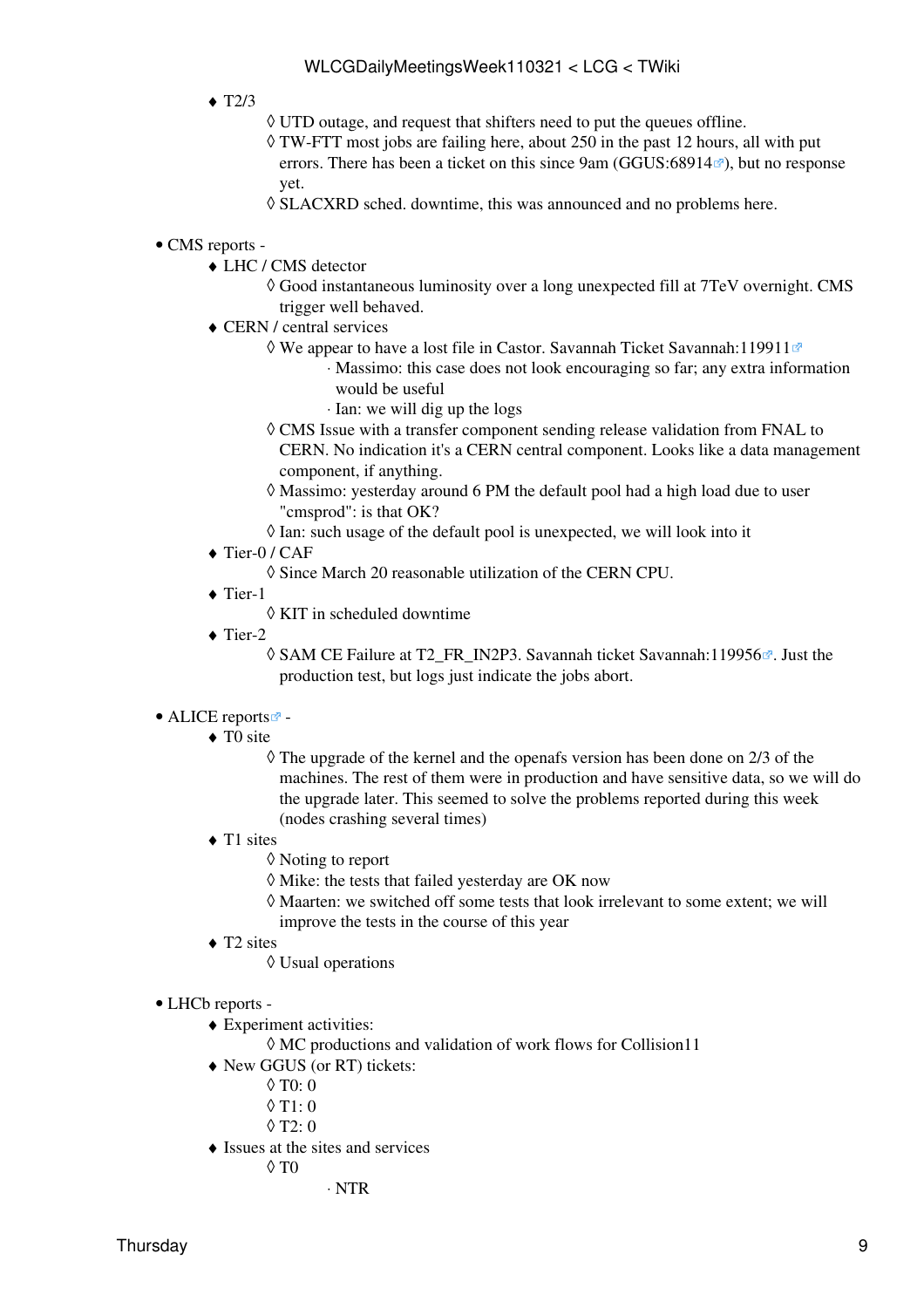- $\triangleleft$  T2/3
- ◊ UTD outage, and request that shifters need to put the queues offline.
- TW-FTT most jobs are failing here, about 250 in the past 12 hours, all with put ◊ errors. There has been a ticket on this since 9am [\(GGUS:68914](https://ggus.eu/ws/ticket_info.php?ticket=68914) $\textdegree$ ), but no response yet.
- ◊ SLACXRD sched. downtime, this was announced and no problems here.

#### • CMS [reports](https://twiki.cern.ch/twiki/bin/view/CMS/FacOps_WLCGdailyreports) -

- LHC / CMS detector ♦
	- Good instantaneous luminosity over a long unexpected fill at 7TeV overnight. CMS ◊ trigger well behaved.
- CERN / central services ♦
	- We appear to have a lost file in Castor. Savannah Ticket [Savannah:119911](https://savannah.cern.ch/support/?119911) ◊

Massimo: this case does not look encouraging so far; any extra information ⋅ would be useful

- ⋅ Ian: we will dig up the logs
- CMS Issue with a transfer component sending release validation from FNAL to ◊ CERN. No indication it's a CERN central component. Looks like a data management component, if anything.
- Massimo: yesterday around 6 PM the default pool had a high load due to user ◊ "cmsprod": is that OK?
- ◊ Ian: such usage of the default pool is unexpected, we will look into it
- ◆ Tier-0 / CAF
	- ◊ Since March 20 reasonable utilization of the CERN CPU.
- ◆ Tier-1
	- ◊ KIT in scheduled downtime
- ◆ Tier-2
	- ◊ SAM CE Failure at T2\_FR\_IN2P3. Savannah ticket [Savannah:119956](https://savannah.cern.ch/support/?119956) <sup>a</sup>. Just the production test, but logs just indicate the jobs abort.

#### • ALICE [reports](http://alien2.cern.ch/index.php?option=com_content&view=article&id=75&Itemid=129)

- ◆ TO site
	- The upgrade of the kernel and the openafs version has been done on 2/3 of the ◊ machines. The rest of them were in production and have sensitive data, so we will do the upgrade later. This seemed to solve the problems reported during this week (nodes crashing several times)
- ◆ T1 sites
	- ◊ Noting to report
	- $\Diamond$  Mike: the tests that failed yesterday are OK now
	- Maarten: we switched off some tests that look irrelevant to some extent; we will ◊ improve the tests in the course of this year
- ◆ T2 sites
	- ◊ Usual operations
- LHCb [reports](https://twiki.cern.ch/twiki/bin/view/LHCb/ProductionOperationsWLCGdailyReports)  •
	- Experiment activities: ♦
		- $\Diamond$  MC productions and validation of work flows for Collision11
	- New GGUS (or RT) tickets: ♦
		- $\lozenge$  T<sub>0</sub> $\lozenge$  0
		- $\lozenge$  T1: 0
		- $\Diamond$  T<sub>2</sub> $\cdot$  0
	- Issues at the sites and services ♦
		- $\Diamond$  T $0$
- ⋅ NTR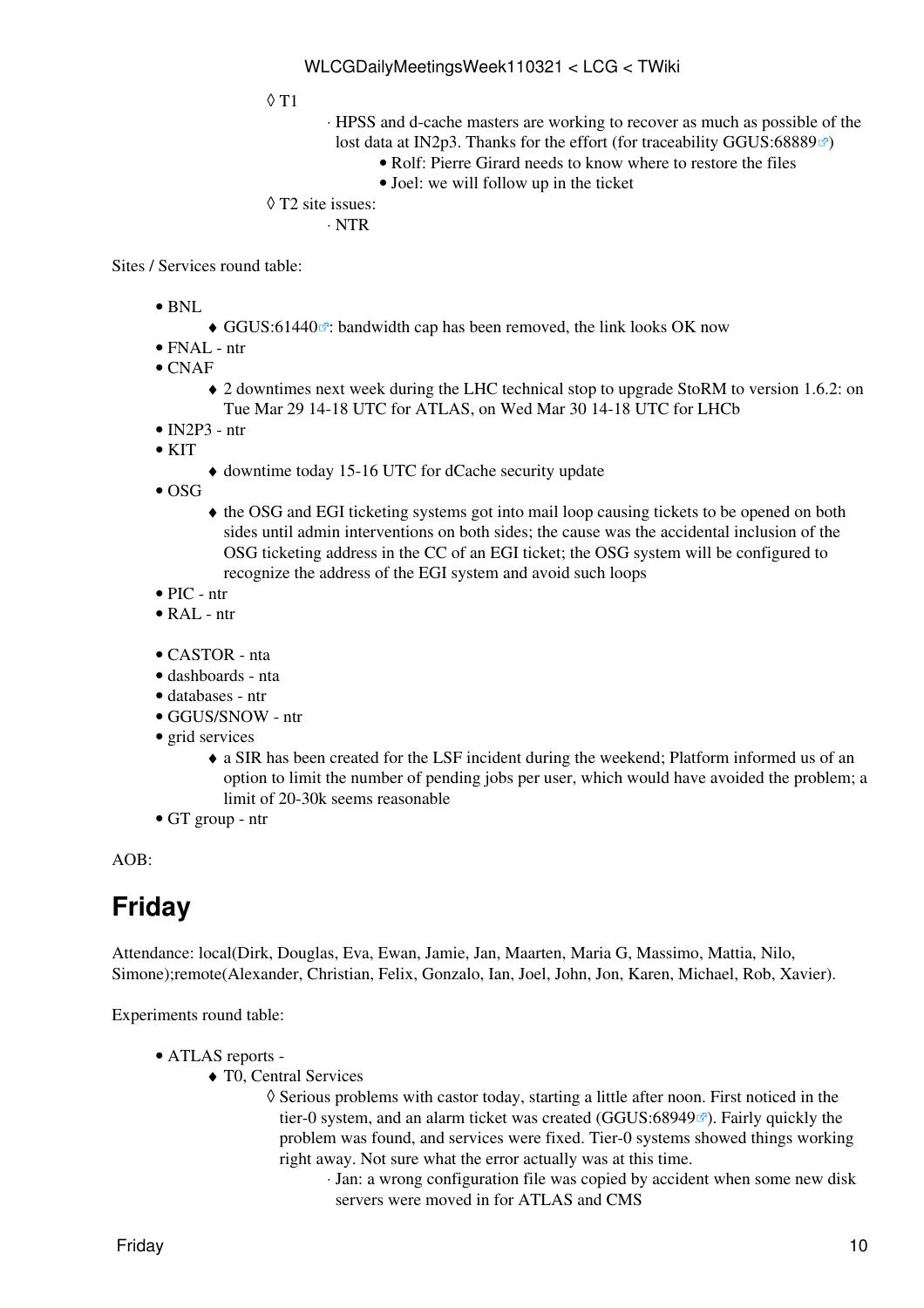T1 ◊

HPSS and d-cache masters are working to recover as much as possible of the ⋅ lost data at IN2p3. Thanks for the effort (for traceability [GGUS:68889](https://ggus.eu/ws/ticket_info.php?ticket=68889) $\textcircled{r}$ )

- Rolf: Pierre Girard needs to know where to restore the files
- Joel: we will follow up in the ticket

```
T2 site issues:
◊
```

```
⋅ NTR
```
Sites / Services round table:

- BNL
- $\triangleleft$  [GGUS:61440](https://ggus.eu/ws/ticket_info.php?ticket=61440) $\degree$ : bandwidth cap has been removed, the link looks OK now
- FNAL ntr
- CNAF

2 downtimes next week during the LHC technical stop to upgrade [StoRM](https://twiki.cern.ch/twiki/bin/view/LCG/StoRM) to version 1.6.2: on ♦ Tue Mar 29 14-18 UTC for ATLAS, on Wed Mar 30 14-18 UTC for LHCb

- $\bullet$  [IN2P3](https://twiki.cern.ch/twiki/bin/view/LCG/IN2P3)  ntr
- $\bullet$  KIT
	- ♦ downtime today 15-16 UTC for dCache security update
- $\bullet$  OSG
	- the OSG and EGI ticketing systems got into mail loop causing tickets to be opened on both ♦ sides until admin interventions on both sides; the cause was the accidental inclusion of the OSG ticketing address in the CC of an EGI ticket; the OSG system will be configured to recognize the address of the EGI system and avoid such loops
- PIC ntr
- [RAL](https://twiki.cern.ch/twiki/bin/view/LCG/RAL) ntr
- CASTOR nta
- dashboards nta
- databases ntr
- GGUS/SNOW ntr
- grid services
	- a [SIR](https://twiki.cern.ch/twiki/bin/view/PESgroup/IncidentBatch190302011) has been created for the [LSF](https://twiki.cern.ch/twiki/bin/view/LCG/LSF) incident during the weekend; Platform informed us of an ♦ option to limit the number of pending jobs per user, which would have avoided the problem; a limit of 20-30k seems reasonable
- GT group ntr

AOB:

### <span id="page-10-0"></span>**Friday**

Attendance: local(Dirk, Douglas, Eva, Ewan, Jamie, Jan, Maarten, Maria G, Massimo, Mattia, Nilo, Simone);remote(Alexander, Christian, Felix, Gonzalo, Ian, Joel, John, Jon, Karen, Michael, Rob, Xavier).

Experiments round table:

- ATLAS [reports](https://twiki.cern.ch/twiki/bin/view/Atlas/ADCOperationsDailyReports)  •
	- T0, Central Services ♦
		- ◊ Serious problems with castor today, starting a little after noon. First noticed in the tier-0 system, and an alarm ticket was created [\(GGUS:68949](https://ggus.eu/ws/ticket_info.php?ticket=68949) $\mathbb{Z}$ ). Fairly quickly the problem was found, and services were fixed. Tier-0 systems showed things working right away. Not sure what the error actually was at this time.
			- Jan: a wrong configuration file was copied by accident when some new disk ⋅ servers were moved in for ATLAS and CMS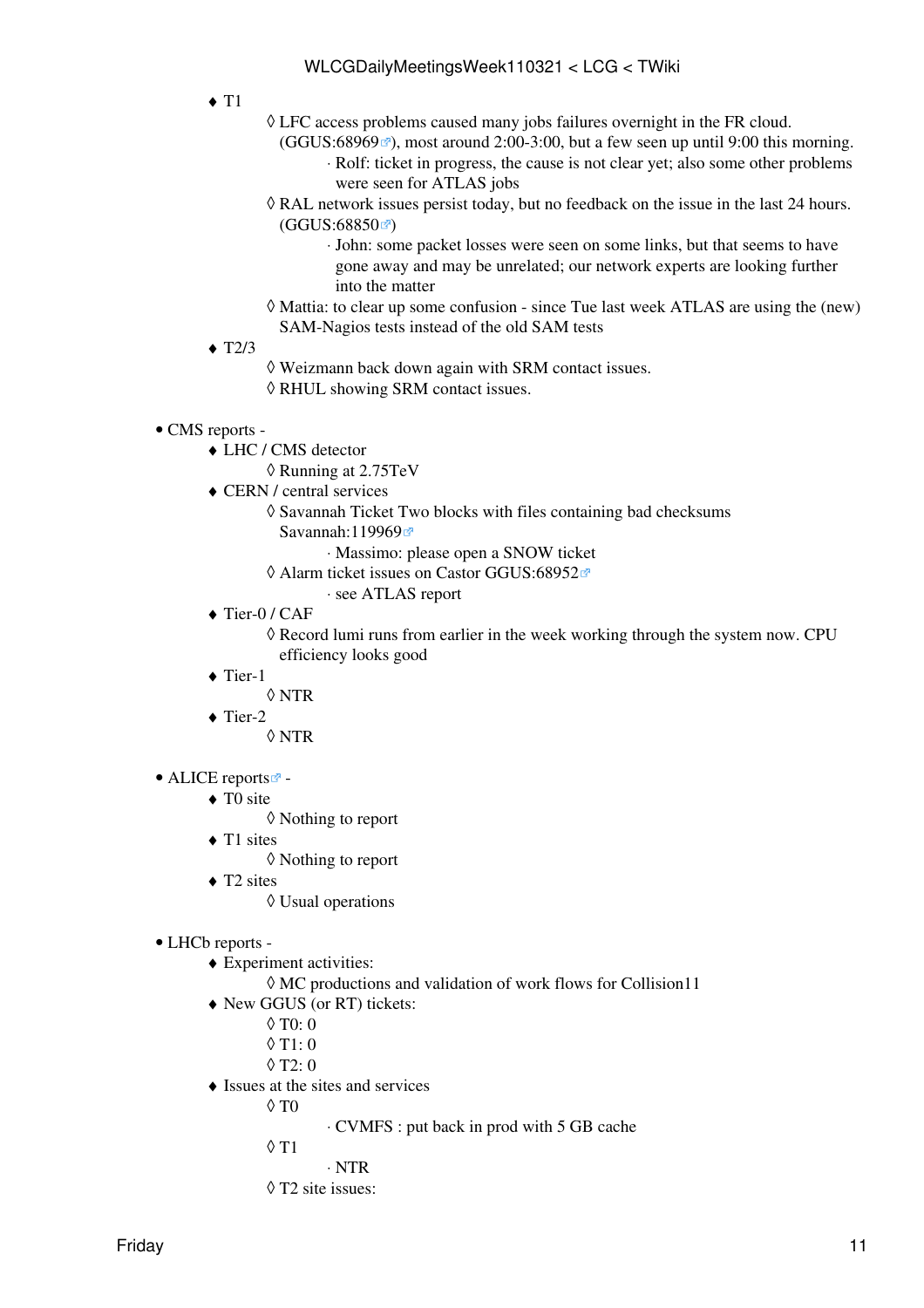- $\triangleleft$  T<sub>1</sub>
- LFC access problems caused many jobs failures overnight in the FR cloud. ◊
	- $(GGUS:68969\text{ m})$  $(GGUS:68969\text{ m})$  $(GGUS:68969\text{ m})$ , most around 2:00-3:00, but a few seen up until 9:00 this morning. Rolf: ticket in progress, the cause is not clear yet; also some other problems ⋅ were seen for ATLAS jobs
- [RAL](https://twiki.cern.ch/twiki/bin/view/LCG/RAL) network issues persist today, but no feedback on the issue in the last 24 hours. ◊  $(GGUS: 68850 \, \text{m})$ 
	- John: some packet losses were seen on some links, but that seems to have ⋅ gone away and may be unrelated; our network experts are looking further into the matter
- Mattia: to clear up some confusion since Tue last week ATLAS are using the (new) ◊ SAM-Nagios tests instead of the old SAM tests
- $\triangleleft$  T2/3
	- ◊ Weizmann back down again with SRM contact issues.
	- ◊ RHUL showing SRM contact issues.
- CMS [reports](https://twiki.cern.ch/twiki/bin/view/CMS/FacOps_WLCGdailyreports) -
	- LHC / CMS detector ♦
		- ◊ Running at 2.75TeV
	- CERN / central services ♦
		- Savannah Ticket Two blocks with files containing bad checksums ◊ [Savannah:119969](https://savannah.cern.ch/support/?119969)
			- ⋅ Massimo: please open a SNOW ticket
			- Alarm ticket issues on Castor [GGUS:68952](https://ggus.eu/ws/ticket_info.php?ticket=68952) ◊
				- ⋅ see ATLAS report
	- ◆ Tier-0 / CAF

◊ Record lumi runs from earlier in the week working through the system now. CPU efficiency looks good

- ◆ Tier-1
	- ◊ NTR
- $\blacklozenge$  Tier-2
	- ◊ NTR
- ALICE [reports](http://alien2.cern.ch/index.php?option=com_content&view=article&id=75&Itemid=129)
	- ◆ TO site
		- ◊ Nothing to report
	- ◆ T1 sites
		- ◊ Nothing to report
	- ◆ T2 sites
		- ◊ Usual operations
- LHCb [reports](https://twiki.cern.ch/twiki/bin/view/LHCb/ProductionOperationsWLCGdailyReports) -
	- Experiment activities: ♦
		- ◊ MC productions and validation of work flows for Collision11
	- New GGUS (or RT) tickets: ♦
		- $\lozenge$  T<sub>0</sub>: 0
		- $\lozenge$  T<sub>1</sub>: 0
		- $\Diamond$  T<sub>2</sub> $\cdot$  0
	- Issues at the sites and services ♦
		- $\Diamond$  T $0$

⋅ CVMFS : put back in prod with 5 GB cache

- T1 ◊
	- ⋅ NTR
- ◊ T2 site issues: